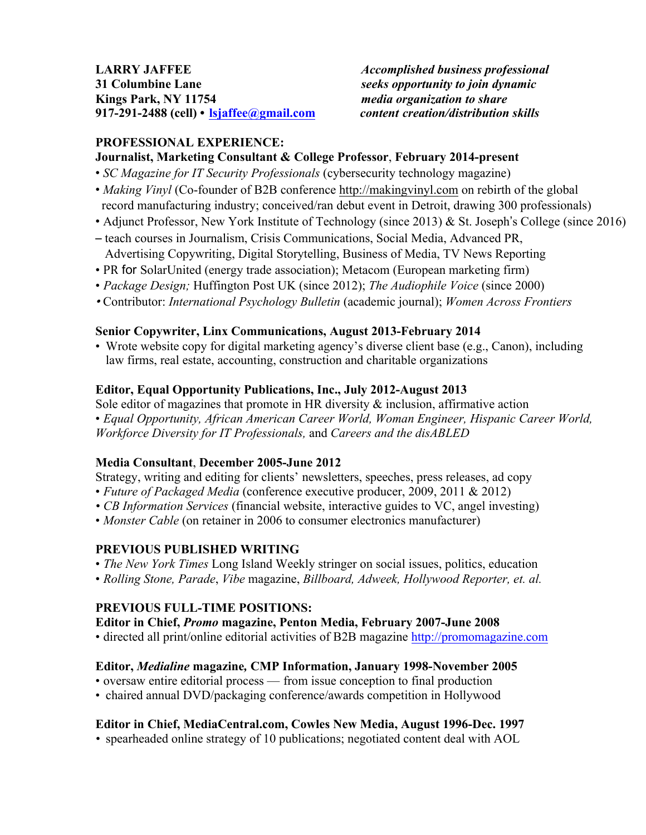### **LARRY JAFFEE** *Accomplished business professional* **31 Columbine Lane** *seeks opportunity to join dynamic* **Kings Park, NY 11754** *media organization to share* **917-291-2488 (cell) • lsjaffee@gmail.com** *content creation/distribution skills*

# **PROFESSIONAL EXPERIENCE:**

### **Journalist, Marketing Consultant & College Professor**, **February 2014-present**

- *SC Magazine for IT Security Professionals* (cybersecurity technology magazine)
- *Making Vinyl* (Co-founder of B2B conference http://makingvinyl.com on rebirth of the global record manufacturing industry; conceived/ran debut event in Detroit, drawing 300 professionals)
- Adjunct Professor, New York Institute of Technology (since 2013) & St. Joseph's College (since 2016)
- teach courses in Journalism, Crisis Communications, Social Media, Advanced PR, Advertising Copywriting, Digital Storytelling, Business of Media, TV News Reporting
- PR for SolarUnited (energy trade association); Metacom (European marketing firm)
- *Package Design;* Huffington Post UK (since 2012); *The Audiophile Voice* (since 2000)
- Contributor: *International Psychology Bulletin* (academic journal); *Women Across Frontiers*

### **Senior Copywriter, Linx Communications, August 2013-February 2014**

• Wrote website copy for digital marketing agency's diverse client base (e.g., Canon), including law firms, real estate, accounting, construction and charitable organizations

### **Editor, Equal Opportunity Publications, Inc., July 2012-August 2013**

Sole editor of magazines that promote in HR diversity  $\&$  inclusion, affirmative action • *Equal Opportunity, African American Career World, Woman Engineer, Hispanic Career World, Workforce Diversity for IT Professionals,* and *Careers and the disABLED*

#### **Media Consultant**, **December 2005-June 2012**

Strategy, writing and editing for clients' newsletters, speeches, press releases, ad copy

- *Future of Packaged Media* (conference executive producer, 2009, 2011 & 2012)
- *• CB Information Services* (financial website, interactive guides to VC, angel investing)
- *Monster Cable* (on retainer in 2006 to consumer electronics manufacturer)

#### **PREVIOUS PUBLISHED WRITING**

- *The New York Times* Long Island Weekly stringer on social issues, politics, education
- *Rolling Stone, Parade*, *Vibe* magazine, *Billboard, Adweek, Hollywood Reporter, et. al.*

#### **PREVIOUS FULL-TIME POSITIONS:**

#### **Editor in Chief,** *Promo* **magazine, Penton Media, February 2007-June 2008**

• directed all print/online editorial activities of B2B magazine http://promomagazine.com

#### **Editor,** *Medialine* **magazine***,* **CMP Information, January 1998-November 2005**

- oversaw entire editorial process from issue conception to final production
- chaired annual DVD/packaging conference/awards competition in Hollywood

#### **Editor in Chief, MediaCentral.com, Cowles New Media, August 1996-Dec. 1997**

*•* spearheaded online strategy of 10 publications; negotiated content deal with AOL